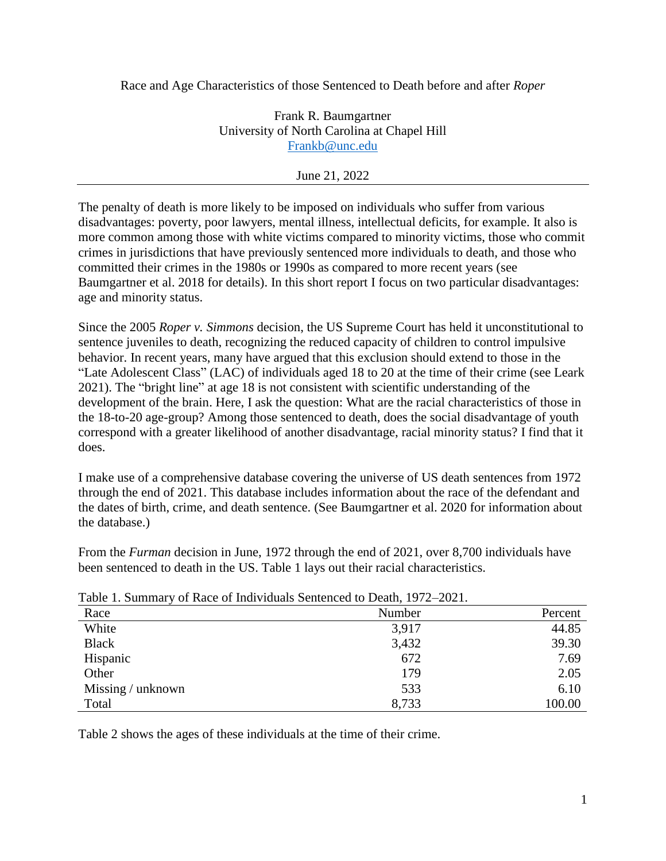Race and Age Characteristics of those Sentenced to Death before and after *Roper*

Frank R. Baumgartner University of North Carolina at Chapel Hill [Frankb@unc.edu](mailto:Frankb@unc.edu)

## June 21, 2022

The penalty of death is more likely to be imposed on individuals who suffer from various disadvantages: poverty, poor lawyers, mental illness, intellectual deficits, for example. It also is more common among those with white victims compared to minority victims, those who commit crimes in jurisdictions that have previously sentenced more individuals to death, and those who committed their crimes in the 1980s or 1990s as compared to more recent years (see Baumgartner et al. 2018 for details). In this short report I focus on two particular disadvantages: age and minority status.

Since the 2005 *Roper v. Simmons* decision, the US Supreme Court has held it unconstitutional to sentence juveniles to death, recognizing the reduced capacity of children to control impulsive behavior. In recent years, many have argued that this exclusion should extend to those in the "Late Adolescent Class" (LAC) of individuals aged 18 to 20 at the time of their crime (see Leark 2021). The "bright line" at age 18 is not consistent with scientific understanding of the development of the brain. Here, I ask the question: What are the racial characteristics of those in the 18-to-20 age-group? Among those sentenced to death, does the social disadvantage of youth correspond with a greater likelihood of another disadvantage, racial minority status? I find that it does.

I make use of a comprehensive database covering the universe of US death sentences from 1972 through the end of 2021. This database includes information about the race of the defendant and the dates of birth, crime, and death sentence. (See Baumgartner et al. 2020 for information about the database.)

From the *Furman* decision in June, 1972 through the end of 2021, over 8,700 individuals have been sentenced to death in the US. Table 1 lays out their racial characteristics.

| There is summary of race of marriagans sentenced to Beaun, $1772$ Bosh. |        |         |  |  |  |  |
|-------------------------------------------------------------------------|--------|---------|--|--|--|--|
| Race                                                                    | Number | Percent |  |  |  |  |
| White                                                                   | 3,917  | 44.85   |  |  |  |  |
| <b>Black</b>                                                            | 3,432  | 39.30   |  |  |  |  |
| Hispanic                                                                | 672    | 7.69    |  |  |  |  |
| Other                                                                   | 179    | 2.05    |  |  |  |  |
| Missing / unknown                                                       | 533    | 6.10    |  |  |  |  |
| Total                                                                   | 8,733  | 100.00  |  |  |  |  |

Table 1. Summary of Race of Individuals Sentenced to Death, 1972–2021.

Table 2 shows the ages of these individuals at the time of their crime.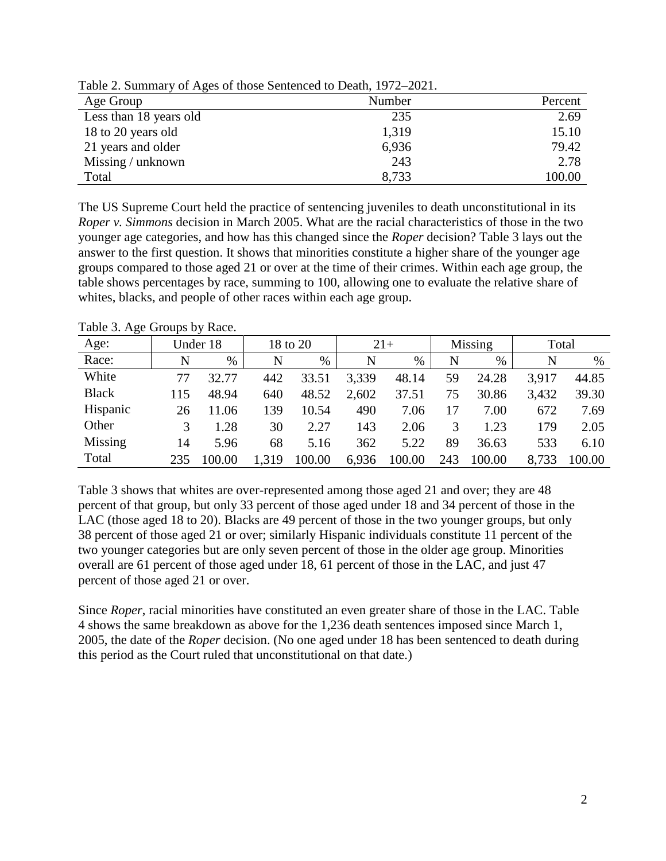| Age Group              | Number | Percent |
|------------------------|--------|---------|
| Less than 18 years old | 235    | 2.69    |
| 18 to 20 years old     | 1,319  | 15.10   |
| 21 years and older     | 6,936  | 79.42   |
| Missing / unknown      | 243    | 2.78    |
| Total                  | 8,733  | 100.00  |

Table 2. Summary of Ages of those Sentenced to Death, 1972–2021.

The US Supreme Court held the practice of sentencing juveniles to death unconstitutional in its *Roper v. Simmons* decision in March 2005. What are the racial characteristics of those in the two younger age categories, and how has this changed since the *Roper* decision? Table 3 lays out the answer to the first question. It shows that minorities constitute a higher share of the younger age groups compared to those aged 21 or over at the time of their crimes. Within each age group, the table shows percentages by race, summing to 100, allowing one to evaluate the relative share of whites, blacks, and people of other races within each age group.

| Age:         | Under 18 |        | 18 to 20 |        | $21+$ |        | Missing |        | Total |        |
|--------------|----------|--------|----------|--------|-------|--------|---------|--------|-------|--------|
| Race:        | N        | $\%$   | N        | %      | N     | %      | N       | $\%$   | N     | $\%$   |
| White        | 77       | 32.77  | 442      | 33.51  | 3,339 | 48.14  | 59      | 24.28  | 3,917 | 44.85  |
| <b>Black</b> | 115      | 48.94  | 640      | 48.52  | 2,602 | 37.51  | 75      | 30.86  | 3,432 | 39.30  |
| Hispanic     | 26       | 11.06  | 139      | 10.54  | 490   | 7.06   |         | 7.00   | 672   | 7.69   |
| Other        |          | 1.28   | 30       | 2.27   | 143   | 2.06   |         | 1.23   | 179   | 2.05   |
| Missing      | 14       | 5.96   | 68       | 5.16   | 362   | 5.22   | 89      | 36.63  | 533   | 6.10   |
| Total        | 235      | 100.00 | 1,319    | 100.00 | 6,936 | 100.00 | 243     | 100.00 | 8.733 | 100.00 |

Table 3. Age Groups by Race.

Table 3 shows that whites are over-represented among those aged 21 and over; they are 48 percent of that group, but only 33 percent of those aged under 18 and 34 percent of those in the LAC (those aged 18 to 20). Blacks are 49 percent of those in the two younger groups, but only 38 percent of those aged 21 or over; similarly Hispanic individuals constitute 11 percent of the two younger categories but are only seven percent of those in the older age group. Minorities overall are 61 percent of those aged under 18, 61 percent of those in the LAC, and just 47 percent of those aged 21 or over.

Since *Roper*, racial minorities have constituted an even greater share of those in the LAC. Table 4 shows the same breakdown as above for the 1,236 death sentences imposed since March 1, 2005, the date of the *Roper* decision. (No one aged under 18 has been sentenced to death during this period as the Court ruled that unconstitutional on that date.)